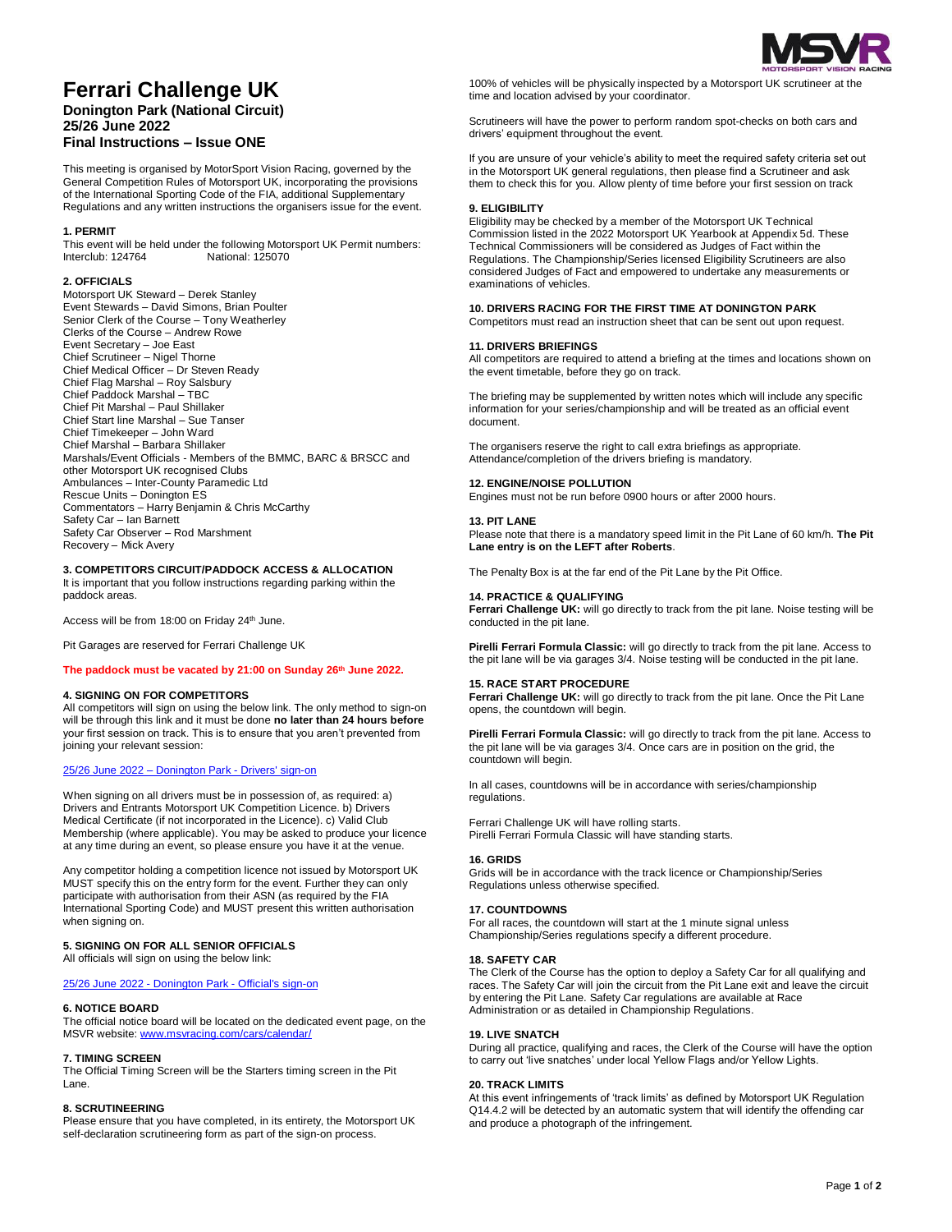# **Ferrari Challenge UK**

# **Donington Park (National Circuit) 25/26 June 2022 Final Instructions – Issue ONE**

This meeting is organised by MotorSport Vision Racing, governed by the General Competition Rules of Motorsport UK, incorporating the provisions of the International Sporting Code of the FIA, additional Supplementary Regulations and any written instructions the organisers issue for the event.

# **1. PERMIT**

This event will be held under the following Motorsport UK Permit numbers: Interclub: 124764 National: 125070

# **2. OFFICIALS**

Motorsport UK Steward – Derek Stanley Event Stewards – David Simons, Brian Poulter Senior Clerk of the Course – Tony Weatherley Clerks of the Course – Andrew Rowe Event Secretary – Joe East Chief Scrutineer – Nigel Thorne Chief Medical Officer – Dr Steven Ready Chief Flag Marshal – Roy Salsbury Chief Paddock Marshal – TBC Chief Pit Marshal – Paul Shillaker Chief Start line Marshal – Sue Tanser Chief Timekeeper – John Ward Chief Marshal – Barbara Shillaker Marshals/Event Officials - Members of the BMMC, BARC & BRSCC and other Motorsport UK recognised Clubs Ambulances – Inter-County Paramedic Ltd Rescue Units – Donington ES Commentators – Harry Benjamin & Chris McCarthy Safety Car – Ian Barnett Safety Car Observer – Rod Marshment Recovery – Mick Avery

#### **3. COMPETITORS CIRCUIT/PADDOCK ACCESS & ALLOCATION** It is important that you follow instructions regarding parking within the paddock areas.

Access will be from 18:00 on Friday 24<sup>th</sup> June.

Pit Garages are reserved for Ferrari Challenge UK

# **The paddock must be vacated by 21:00 on Sunday 26th June 2022.**

# **4. SIGNING ON FOR COMPETITORS**

All competitors will sign on using the below link. The only method to sign-on will be through this link and it must be done **no later than 24 hours before** your first session on track. This is to ensure that you aren't prevented from joining your relevant session:

# 25/26 June 2022 – Donington Park - [Drivers' sign-on](https://racing.msv.com/CheckIn/cd9fad53-c391-404f-ac6f-7d789a8f7731)

When signing on all drivers must be in possession of, as required: a) Drivers and Entrants Motorsport UK Competition Licence. b) Drivers Medical Certificate (if not incorporated in the Licence). c) Valid Club Membership (where applicable). You may be asked to produce your licence at any time during an event, so please ensure you have it at the venue.

Any competitor holding a competition licence not issued by Motorsport UK MUST specify this on the entry form for the event. Further they can only participate with authorisation from their ASN (as required by the FIA International Sporting Code) and MUST present this written authorisation when signing on.

# **5. SIGNING ON FOR ALL SENIOR OFFICIALS**

All officials will sign on using the below link:

25/26 June 2022 - [Donington Park -](https://racing.msv.com/CheckIn/Officals/cd9fad53-c391-404f-ac6f-7d789a8f7731) Official's sign-on

# **6. NOTICE BOARD**

The official notice board will be located on the dedicated event page, on the MSVR website[: www.msvracing.com/cars/calendar/](http://www.msvracing.com/cars/calendar/)

# **7. TIMING SCREEN**

The Official Timing Screen will be the Starters timing screen in the Pit Lane.

# **8. SCRUTINEERING**

Please ensure that you have completed, in its entirety, the Motorsport UK self-declaration scrutineering form as part of the sign-on process.

100% of vehicles will be physically inspected by a Motorsport UK scrutineer at the time and location advised by your coordinator.

Scrutineers will have the power to perform random spot-checks on both cars and drivers' equipment throughout the event.

If you are unsure of your vehicle's ability to meet the required safety criteria set out in the Motorsport UK general regulations, then please find a Scrutineer and ask them to check this for you. Allow plenty of time before your first session on track

#### **9. ELIGIBILITY**

Eligibility may be checked by a member of the Motorsport UK Technical Commission listed in the 2022 Motorsport UK Yearbook at Appendix 5d. These Technical Commissioners will be considered as Judges of Fact within the Regulations. The Championship/Series licensed Eligibility Scrutineers are also considered Judges of Fact and empowered to undertake any measurements or examinations of vehicles.

## **10. DRIVERS RACING FOR THE FIRST TIME AT DONINGTON PARK**

Competitors must read an instruction sheet that can be sent out upon request.

### **11. DRIVERS BRIEFINGS**

All competitors are required to attend a briefing at the times and locations shown on the event timetable, before they go on track.

The briefing may be supplemented by written notes which will include any specific information for your series/championship and will be treated as an official event document.

The organisers reserve the right to call extra briefings as appropriate. Attendance/completion of the drivers briefing is mandatory.

#### **12. ENGINE/NOISE POLLUTION**

Engines must not be run before 0900 hours or after 2000 hours.

#### **13. PIT LANE**

Please note that there is a mandatory speed limit in the Pit Lane of 60 km/h. **The Pit Lane entry is on the LEFT after Roberts**.

The Penalty Box is at the far end of the Pit Lane by the Pit Office.

#### **14. PRACTICE & QUALIFYING**

Ferrari Challenge UK: will go directly to track from the pit lane. Noise testing will be conducted in the pit lane.

**Pirelli Ferrari Formula Classic:** will go directly to track from the pit lane. Access to the pit lane will be via garages 3/4. Noise testing will be conducted in the pit lane.

#### **15. RACE START PROCEDURE**

**Ferrari Challenge UK:** will go directly to track from the pit lane. Once the Pit Lane opens, the countdown will begin.

**Pirelli Ferrari Formula Classic:** will go directly to track from the pit lane. Access to the pit lane will be via garages 3/4. Once cars are in position on the grid, the countdown will begin.

In all cases, countdowns will be in accordance with series/championship regulations.

Ferrari Challenge UK will have rolling starts. Pirelli Ferrari Formula Classic will have standing starts.

#### **16. GRIDS**

Grids will be in accordance with the track licence or Championship/Series Regulations unless otherwise specified.

## **17. COUNTDOWNS**

For all races, the countdown will start at the 1 minute signal unless Championship/Series regulations specify a different procedure.

#### **18. SAFETY CAR**

The Clerk of the Course has the option to deploy a Safety Car for all qualifying and races. The Safety Car will join the circuit from the Pit Lane exit and leave the circuit by entering the Pit Lane. Safety Car regulations are available at Race Administration or as detailed in Championship Regulations.

#### **19. LIVE SNATCH**

During all practice, qualifying and races, the Clerk of the Course will have the option to carry out 'live snatches' under local Yellow Flags and/or Yellow Lights.

#### **20. TRACK LIMITS**

At this event infringements of 'track limits' as defined by Motorsport UK Regulation Q14.4.2 will be detected by an automatic system that will identify the offending car and produce a photograph of the infringement.